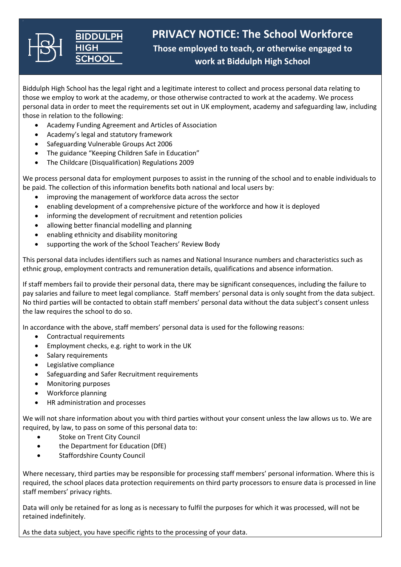

**PRIVACY NOTICE: The School Workforce Those employed to teach, or otherwise engaged to work at Biddulph High School**

Biddulph High School has the legal right and a legitimate interest to collect and process personal data relating to those we employ to work at the academy, or those otherwise contracted to work at the academy. We process personal data in order to meet the requirements set out in UK employment, academy and safeguarding law, including those in relation to the following:

- Academy Funding Agreement and Articles of Association
- Academy's legal and statutory framework
- Safeguarding Vulnerable Groups Act 2006
- The guidance "Keeping Children Safe in Education"
- The Childcare (Disqualification) Regulations 2009

We process personal data for employment purposes to assist in the running of the school and to enable individuals to be paid. The collection of this information benefits both national and local users by:

- improving the management of workforce data across the sector
- enabling development of a comprehensive picture of the workforce and how it is deployed
- informing the development of recruitment and retention policies
- allowing better financial modelling and planning
- enabling ethnicity and disability monitoring
- supporting the work of the School Teachers' Review Body

This personal data includes identifiers such as names and National Insurance numbers and characteristics such as ethnic group, employment contracts and remuneration details, qualifications and absence information.

If staff members fail to provide their personal data, there may be significant consequences, including the failure to pay salaries and failure to meet legal compliance. Staff members' personal data is only sought from the data subject. No third parties will be contacted to obtain staff members' personal data without the data subject's consent unless the law requires the school to do so.

In accordance with the above, staff members' personal data is used for the following reasons:

- Contractual requirements
- Employment checks, e.g. right to work in the UK
- Salary requirements
- Legislative compliance
- Safeguarding and Safer Recruitment requirements
- Monitoring purposes
- Workforce planning
- HR administration and processes

We will not share information about you with third parties without your consent unless the law allows us to. We are required, by law, to pass on some of this personal data to:

- Stoke on Trent City Council
- the Department for Education (DfE)
- Staffordshire County Council

Where necessary, third parties may be responsible for processing staff members' personal information. Where this is required, the school places data protection requirements on third party processors to ensure data is processed in line staff members' privacy rights.

Data will only be retained for as long as is necessary to fulfil the purposes for which it was processed, will not be retained indefinitely.

As the data subject, you have specific rights to the processing of your data.